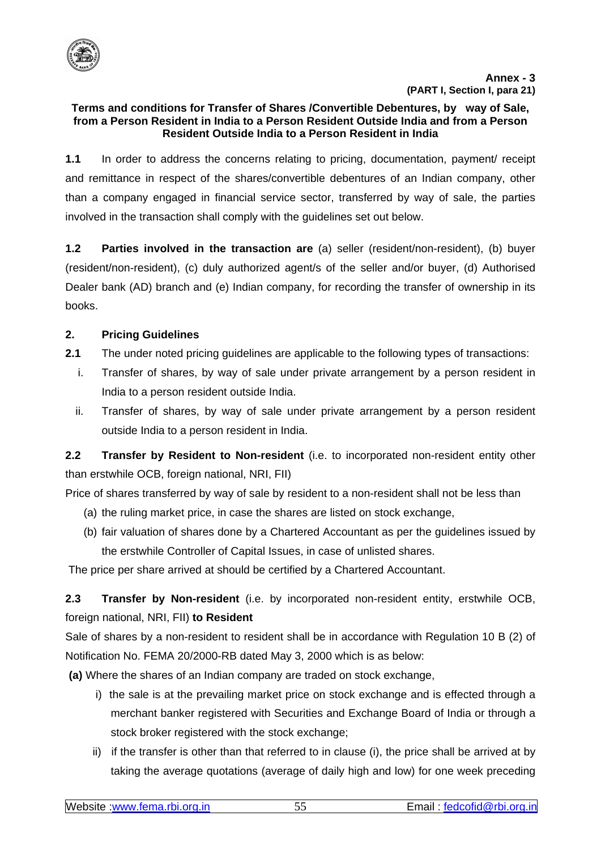

### **Terms and conditions for Transfer of Shares /Convertible Debentures, by way of Sale, from a Person Resident in India to a Person Resident Outside India and from a Person Resident Outside India to a Person Resident in India**

**1.1** In order to address the concerns relating to pricing, documentation, payment/ receipt and remittance in respect of the shares/convertible debentures of an Indian company, other than a company engaged in financial service sector, transferred by way of sale, the parties involved in the transaction shall comply with the guidelines set out below.

**1.2 Parties involved in the transaction are** (a) seller (resident/non-resident), (b) buyer (resident/non-resident), (c) duly authorized agent/s of the seller and/or buyer, (d) Authorised Dealer bank (AD) branch and (e) Indian company, for recording the transfer of ownership in its books.

# **2. Pricing Guidelines**

- **2.1** The under noted pricing guidelines are applicable to the following types of transactions:
	- i. Transfer of shares, by way of sale under private arrangement by a person resident in India to a person resident outside India.
	- ii. Transfer of shares, by way of sale under private arrangement by a person resident outside India to a person resident in India.

**2.2 Transfer by Resident to Non-resident** (i.e. to incorporated non-resident entity other than erstwhile OCB, foreign national, NRI, FII)

Price of shares transferred by way of sale by resident to a non-resident shall not be less than

- (a) the ruling market price, in case the shares are listed on stock exchange,
- (b) fair valuation of shares done by a Chartered Accountant as per the guidelines issued by the erstwhile Controller of Capital Issues, in case of unlisted shares.

The price per share arrived at should be certified by a Chartered Accountant.

**2.3 Transfer by Non-resident** (i.e. by incorporated non-resident entity, erstwhile OCB, foreign national, NRI, FII) **to Resident** 

Sale of shares by a non-resident to resident shall be in accordance with Regulation 10 B (2) of Notification No. FEMA 20/2000-RB dated May 3, 2000 which is as below:

 **(a)** Where the shares of an Indian company are traded on stock exchange,

- i) the sale is at the prevailing market price on stock exchange and is effected through a merchant banker registered with Securities and Exchange Board of India or through a stock broker registered with the stock exchange;
- ii) if the transfer is other than that referred to in clause (i), the price shall be arrived at by taking the average quotations (average of daily high and low) for one week preceding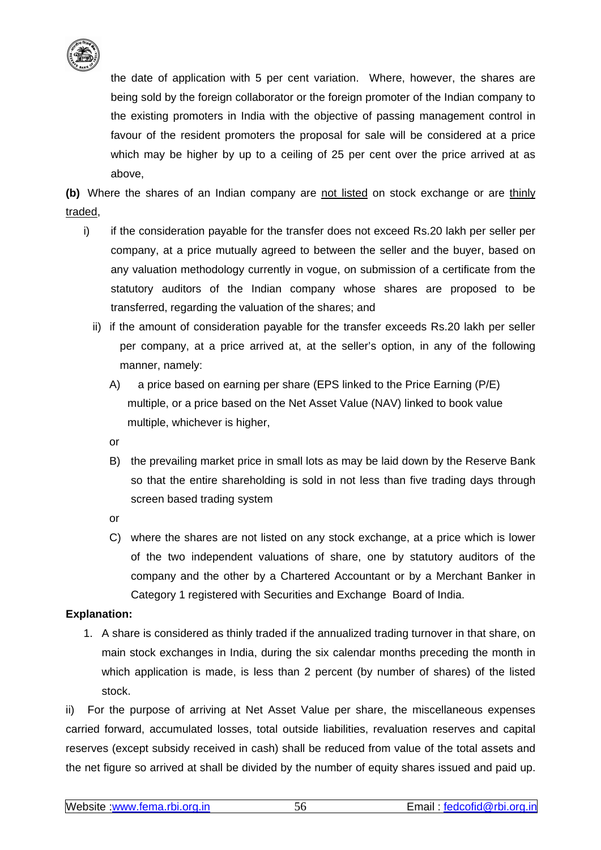

the date of application with 5 per cent variation. Where, however, the shares are being sold by the foreign collaborator or the foreign promoter of the Indian company to the existing promoters in India with the objective of passing management control in favour of the resident promoters the proposal for sale will be considered at a price which may be higher by up to a ceiling of 25 per cent over the price arrived at as above,

**(b)** Where the shares of an Indian company are not listed on stock exchange or are thinly traded,

- i) if the consideration payable for the transfer does not exceed Rs.20 lakh per seller per company, at a price mutually agreed to between the seller and the buyer, based on any valuation methodology currently in vogue, on submission of a certificate from the statutory auditors of the Indian company whose shares are proposed to be transferred, regarding the valuation of the shares; and
	- ii) if the amount of consideration payable for the transfer exceeds Rs.20 lakh per seller per company, at a price arrived at, at the seller's option, in any of the following manner, namely:
		- A) a price based on earning per share (EPS linked to the Price Earning (P/E) multiple, or a price based on the Net Asset Value (NAV) linked to book value multiple, whichever is higher,
		- or
		- B) the prevailing market price in small lots as may be laid down by the Reserve Bank so that the entire shareholding is sold in not less than five trading days through screen based trading system
		- or
		- C) where the shares are not listed on any stock exchange, at a price which is lower of the two independent valuations of share, one by statutory auditors of the company and the other by a Chartered Accountant or by a Merchant Banker in Category 1 registered with Securities and Exchange Board of India.

# **Explanation:**

1. A share is considered as thinly traded if the annualized trading turnover in that share, on main stock exchanges in India, during the six calendar months preceding the month in which application is made, is less than 2 percent (by number of shares) of the listed stock.

ii) For the purpose of arriving at Net Asset Value per share, the miscellaneous expenses carried forward, accumulated losses, total outside liabilities, revaluation reserves and capital reserves (except subsidy received in cash) shall be reduced from value of the total assets and the net figure so arrived at shall be divided by the number of equity shares issued and paid up.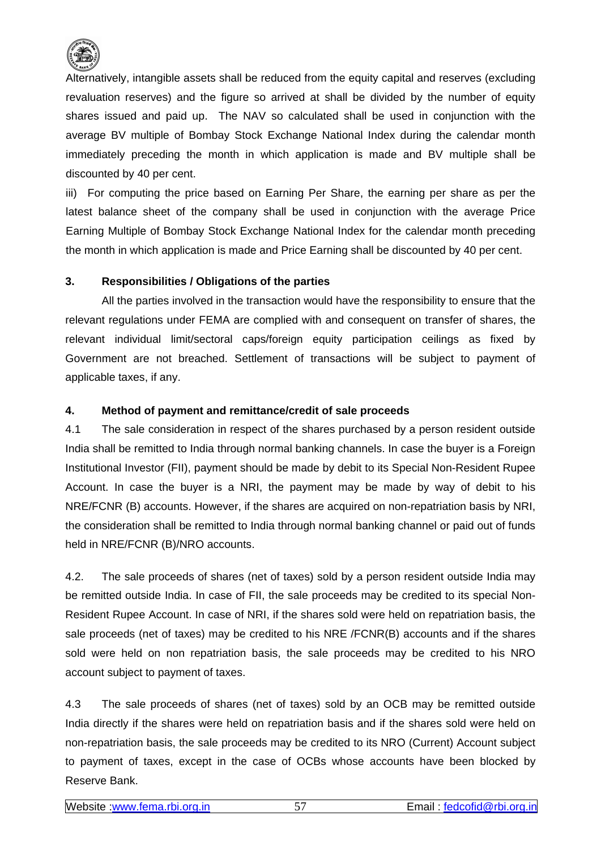

Alternatively, intangible assets shall be reduced from the equity capital and reserves (excluding revaluation reserves) and the figure so arrived at shall be divided by the number of equity shares issued and paid up. The NAV so calculated shall be used in conjunction with the average BV multiple of Bombay Stock Exchange National Index during the calendar month immediately preceding the month in which application is made and BV multiple shall be discounted by 40 per cent.

iii) For computing the price based on Earning Per Share, the earning per share as per the latest balance sheet of the company shall be used in conjunction with the average Price Earning Multiple of Bombay Stock Exchange National Index for the calendar month preceding the month in which application is made and Price Earning shall be discounted by 40 per cent.

## **3. Responsibilities / Obligations of the parties**

 All the parties involved in the transaction would have the responsibility to ensure that the relevant regulations under FEMA are complied with and consequent on transfer of shares, the relevant individual limit/sectoral caps/foreign equity participation ceilings as fixed by Government are not breached. Settlement of transactions will be subject to payment of applicable taxes, if any.

## **4. Method of payment and remittance/credit of sale proceeds**

4.1 The sale consideration in respect of the shares purchased by a person resident outside India shall be remitted to India through normal banking channels. In case the buyer is a Foreign Institutional Investor (FII), payment should be made by debit to its Special Non-Resident Rupee Account. In case the buyer is a NRI, the payment may be made by way of debit to his NRE/FCNR (B) accounts. However, if the shares are acquired on non-repatriation basis by NRI, the consideration shall be remitted to India through normal banking channel or paid out of funds held in NRE/FCNR (B)/NRO accounts.

4.2. The sale proceeds of shares (net of taxes) sold by a person resident outside India may be remitted outside India. In case of FII, the sale proceeds may be credited to its special Non-Resident Rupee Account. In case of NRI, if the shares sold were held on repatriation basis, the sale proceeds (net of taxes) may be credited to his NRE /FCNR(B) accounts and if the shares sold were held on non repatriation basis, the sale proceeds may be credited to his NRO account subject to payment of taxes.

4.3 The sale proceeds of shares (net of taxes) sold by an OCB may be remitted outside India directly if the shares were held on repatriation basis and if the shares sold were held on non-repatriation basis, the sale proceeds may be credited to its NRO (Current) Account subject to payment of taxes, except in the case of OCBs whose accounts have been blocked by Reserve Bank.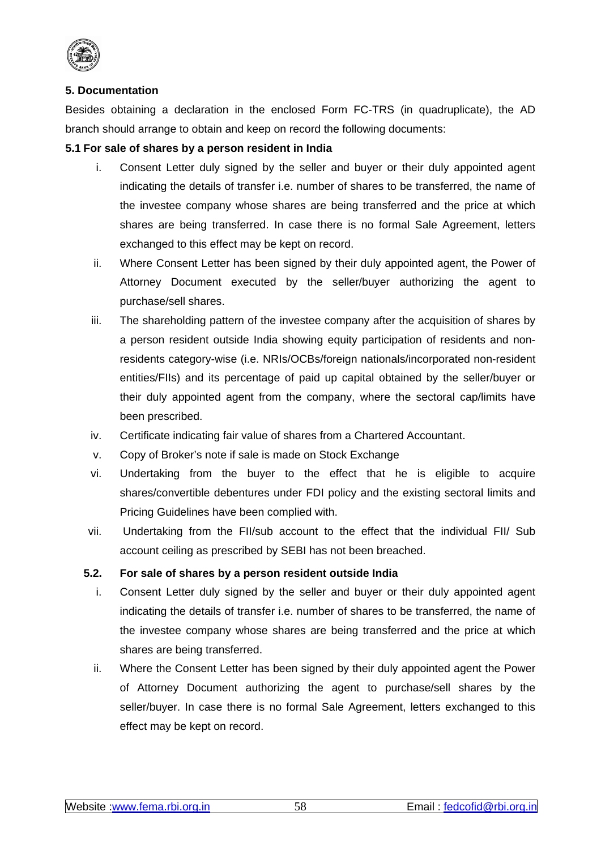

## **5. Documentation**

Besides obtaining a declaration in the enclosed Form FC-TRS (in quadruplicate), the AD branch should arrange to obtain and keep on record the following documents:

## **5.1 For sale of shares by a person resident in India**

- i. Consent Letter duly signed by the seller and buyer or their duly appointed agent indicating the details of transfer i.e. number of shares to be transferred, the name of the investee company whose shares are being transferred and the price at which shares are being transferred. In case there is no formal Sale Agreement, letters exchanged to this effect may be kept on record.
- ii. Where Consent Letter has been signed by their duly appointed agent, the Power of Attorney Document executed by the seller/buyer authorizing the agent to purchase/sell shares.
- iii. The shareholding pattern of the investee company after the acquisition of shares by a person resident outside India showing equity participation of residents and nonresidents category-wise (i.e. NRIs/OCBs/foreign nationals/incorporated non-resident entities/FIIs) and its percentage of paid up capital obtained by the seller/buyer or their duly appointed agent from the company, where the sectoral cap/limits have been prescribed.
- iv. Certificate indicating fair value of shares from a Chartered Accountant.
- v. Copy of Broker's note if sale is made on Stock Exchange
- vi. Undertaking from the buyer to the effect that he is eligible to acquire shares/convertible debentures under FDI policy and the existing sectoral limits and Pricing Guidelines have been complied with.
- vii. Undertaking from the FII/sub account to the effect that the individual FII/ Sub account ceiling as prescribed by SEBI has not been breached.

#### **5.2. For sale of shares by a person resident outside India**

- i. Consent Letter duly signed by the seller and buyer or their duly appointed agent indicating the details of transfer i.e. number of shares to be transferred, the name of the investee company whose shares are being transferred and the price at which shares are being transferred.
- ii. Where the Consent Letter has been signed by their duly appointed agent the Power of Attorney Document authorizing the agent to purchase/sell shares by the seller/buyer. In case there is no formal Sale Agreement, letters exchanged to this effect may be kept on record.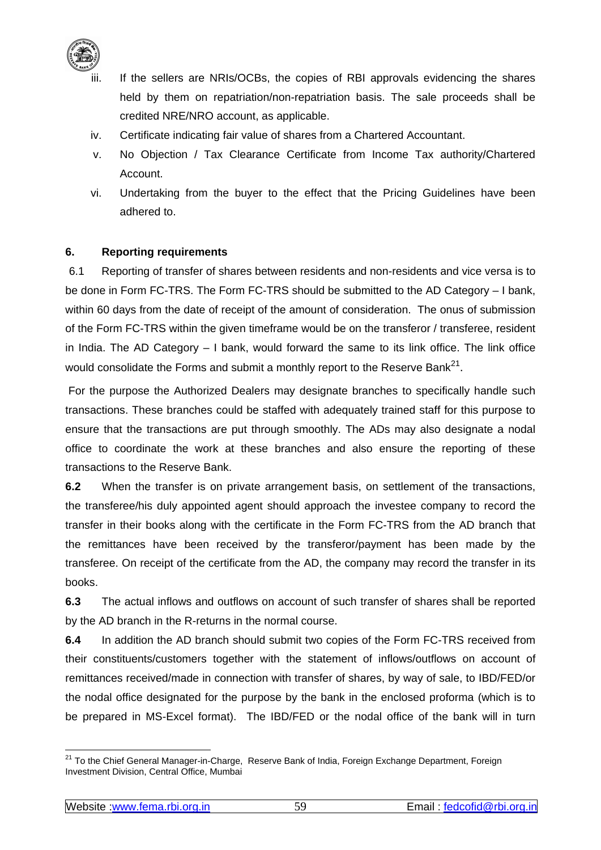

- If the sellers are NRIs/OCBs, the copies of RBI approvals evidencing the shares held by them on repatriation/non-repatriation basis. The sale proceeds shall be credited NRE/NRO account, as applicable.
- iv. Certificate indicating fair value of shares from a Chartered Accountant.
- v. No Objection / Tax Clearance Certificate from Income Tax authority/Chartered Account.
- vi. Undertaking from the buyer to the effect that the Pricing Guidelines have been adhered to.

## **6. Reporting requirements**

6.1 Reporting of transfer of shares between residents and non-residents and vice versa is to be done in Form FC-TRS. The Form FC-TRS should be submitted to the AD Category – I bank, within 60 days from the date of receipt of the amount of consideration. The onus of submission of the Form FC-TRS within the given timeframe would be on the transferor / transferee, resident in India. The AD Category – I bank, would forward the same to its link office. The link office would consolidate the Forms and submit a monthly report to the Reserve Bank $^{21}$ .

 For the purpose the Authorized Dealers may designate branches to specifically handle such transactions. These branches could be staffed with adequately trained staff for this purpose to ensure that the transactions are put through smoothly. The ADs may also designate a nodal office to coordinate the work at these branches and also ensure the reporting of these transactions to the Reserve Bank.

**6.2** When the transfer is on private arrangement basis, on settlement of the transactions, the transferee/his duly appointed agent should approach the investee company to record the transfer in their books along with the certificate in the Form FC-TRS from the AD branch that the remittances have been received by the transferor/payment has been made by the transferee. On receipt of the certificate from the AD, the company may record the transfer in its books.

**6.3** The actual inflows and outflows on account of such transfer of shares shall be reported by the AD branch in the R-returns in the normal course.

**6.4** In addition the AD branch should submit two copies of the Form FC-TRS received from their constituents/customers together with the statement of inflows/outflows on account of remittances received/made in connection with transfer of shares, by way of sale, to IBD/FED/or the nodal office designated for the purpose by the bank in the enclosed proforma (which is to be prepared in MS-Excel format). The IBD/FED or the nodal office of the bank will in turn

 $\overline{\phantom{a}}$ <sup>21</sup> To the Chief General Manager-in-Charge, Reserve Bank of India, Foreign Exchange Department, Foreign Investment Division, Central Office, Mumbai